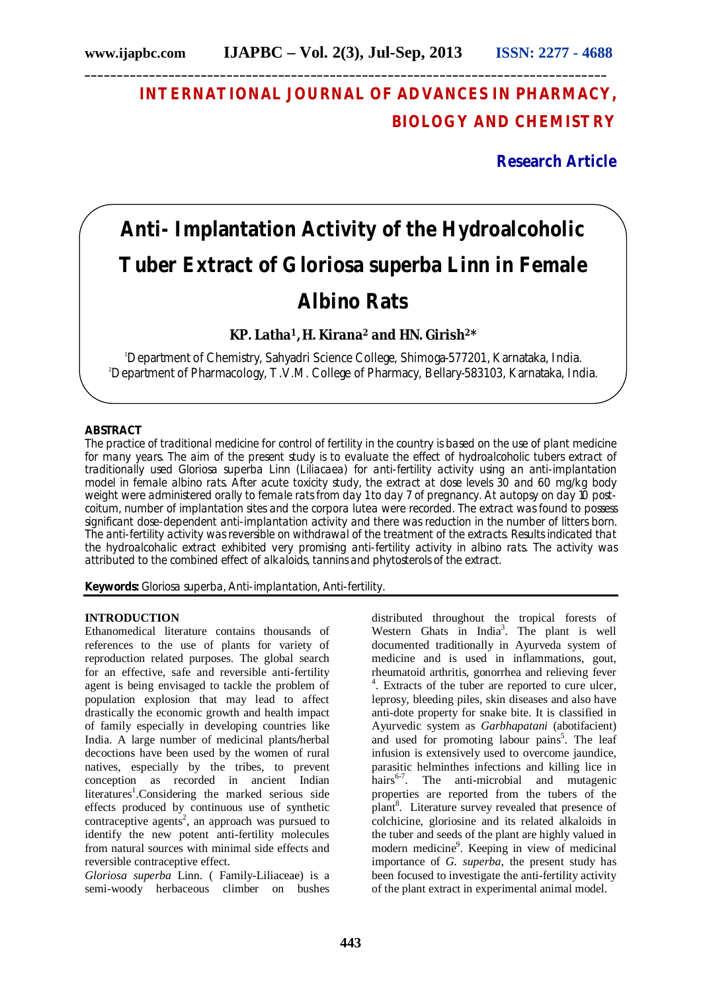# **INTERNATIONAL JOURNAL OF ADVANCES IN PHARMACY, BIOLOGY AND CHEMISTRY**

**Research Article**

# **Anti- Implantation Activity of the Hydroalcoholic Tuber Extract of** *Gloriosa superba* **Linn in Female Albino Rats**

**KP. Latha1, H. Kirana<sup>2</sup> and HN. Girish2\***

<sup>1</sup>Department of Chemistry, Sahyadri Science College, Shimoga-577201, Karnataka, India. 2Department of Pharmacology, T.V.M. College of Pharmacy, Bellary-583103, Karnataka, India.

# **ABSTRACT**

The practice of traditional medicine for control of fertility in the country is based on the use of plant medicine for many years. The aim of the present study is to evaluate the effect of hydroalcoholic tubers extract of traditionally used *Gloriosa superba* Linn (Liliacaea) for anti-fertility activity using an anti-implantation model in female albino rats. After acute toxicity study, the extract at dose levels 30 and 60 mg/kg body weight were administered orally to female rats from day 1 to day 7 of pregnancy. At autopsy on day 10 postcoitum, number of implantation sites and the corpora lutea were recorded. The extract was found to possess significant dose-dependent anti-implantation activity and there was reduction in the number of litters born. The anti-fertility activity was reversible on withdrawal of the treatment of the extracts. Results indicated that the hydroalcohalic extract exhibited very promising anti-fertility activity in albino rats. The activity was attributed to the combined effect of alkaloids, tannins and phytosterols of the extract.

**Keywords:** *Gloriosa superba,* Anti-implantation, Anti-fertility.

## **INTRODUCTION**

Ethanomedical literature contains thousands of references to the use of plants for variety of reproduction related purposes. The global search for an effective, safe and reversible anti-fertility agent is being envisaged to tackle the problem of population explosion that may lead to affect drastically the economic growth and health impact of family especially in developing countries like India. A large number of medicinal plants**/**herbal decoctions have been used by the women of rural natives, especially by the tribes, to prevent conception as recorded in ancient Indian literatures<sup>1</sup>.Considering the marked serious side effects produced by continuous use of synthetic contraceptive agents<sup>2</sup>, an approach was pursued to identify the new potent anti-fertility molecules from natural sources with minimal side effects and reversible contraceptive effect.

*Gloriosa superba* Linn. ( Family-Liliaceae) is a semi-woody herbaceous climber on bushes

distributed throughout the tropical forests of Western Ghats in India<sup>3</sup>. The plant is well documented traditionally in Ayurveda system of medicine and is used in inflammations, gout, rheumatoid arthritis, gonorrhea and relieving fever 4 . Extracts of the tuber are reported to cure ulcer, leprosy, bleeding piles, skin diseases and also have anti-dote property for snake bite. It is classified in Ayurvedic system as *Garbhapatani* (abotifacient) and used for promoting labour pains<sup>5</sup>. The leaf infusion is extensively used to overcome jaundice, parasitic helminthes infections and killing lice in hairs<sup>6-7</sup>. The anti-microbial and mutagenic properties are reported from the tubers of the plant<sup>8</sup>. Literature survey revealed that presence of colchicine, gloriosine and its related alkaloids in the tuber and seeds of the plant are highly valued in modern medicine<sup>9</sup>. Keeping in view of medicinal importance of *G. superba*, the present study has been focused to investigate the anti-fertility activity of the plant extract in experimental animal model.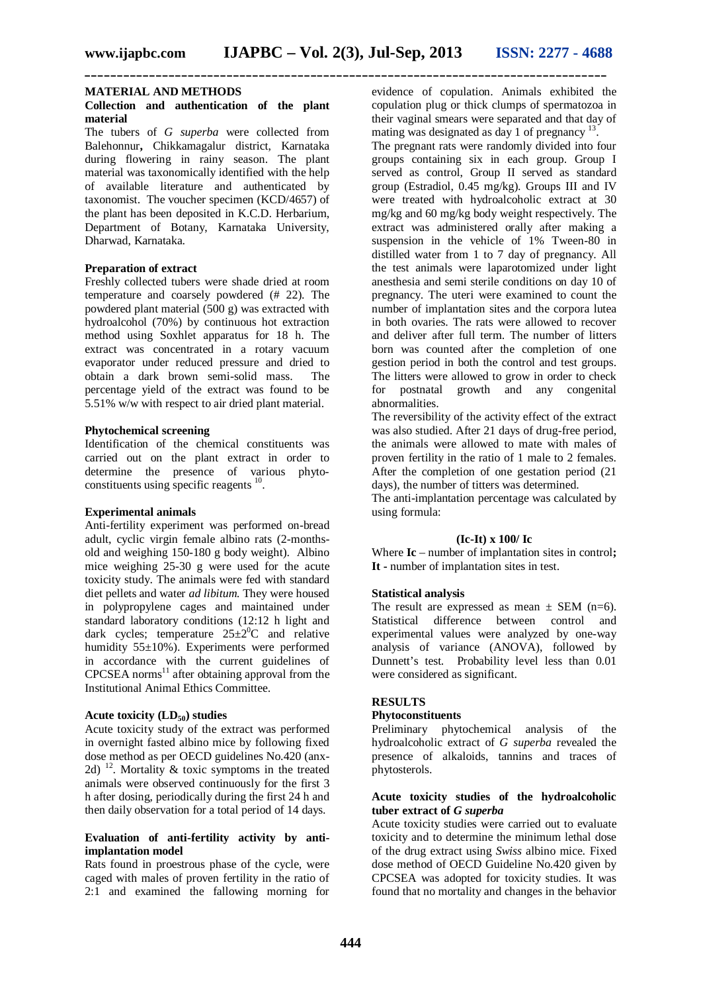**\_\_\_\_\_\_\_\_\_\_\_\_\_\_\_\_\_\_\_\_\_\_\_\_\_\_\_\_\_\_\_\_\_\_\_\_\_\_\_\_\_\_\_\_\_\_\_\_\_\_\_\_\_\_\_\_\_\_\_\_\_\_\_\_\_\_\_\_\_\_\_\_\_\_\_\_\_\_\_\_\_**

#### **MATERIAL AND METHODS**

#### **Collection and authentication of the plant material**

The tubers of *G superba* were collected from Balehonnur**,** Chikkamagalur district, Karnataka during flowering in rainy season. The plant material was taxonomically identified with the help of available literature and authenticated by taxonomist. The voucher specimen (KCD/4657) of the plant has been deposited in K.C.D. Herbarium, Department of Botany, Karnataka University, Dharwad, Karnataka.

#### **Preparation of extract**

Freshly collected tubers were shade dried at room temperature and coarsely powdered (# 22). The powdered plant material (500 g) was extracted with hydroalcohol (70%) by continuous hot extraction method using Soxhlet apparatus for 18 h. The extract was concentrated in a rotary vacuum evaporator under reduced pressure and dried to obtain a dark brown semi-solid mass. The percentage yield of the extract was found to be 5.51% w/w with respect to air dried plant material.

#### **Phytochemical screening**

Identification of the chemical constituents was carried out on the plant extract in order to determine the presence of various phytoconstituents using specific reagents <sup>10</sup>.

#### **Experimental animals**

Anti-fertility experiment was performed on-bread adult, cyclic virgin female albino rats (2-monthsold and weighing 150-180 g body weight). Albino mice weighing 25-30 g were used for the acute toxicity study. The animals were fed with standard diet pellets and water *ad libitum.* They were housed in polypropylene cages and maintained under standard laboratory conditions (12:12 h light and dark cycles; temperature  $25 \pm 2^{0}$ C and relative humidity 55±10%). Experiments were performed in accordance with the current guidelines of  $CPCSEA$  norms<sup>11</sup> after obtaining approval from the Institutional Animal Ethics Committee.

### **Acute toxicity (LD50) studies**

Acute toxicity study of the extract was performed in overnight fasted albino mice by following fixed dose method as per OECD guidelines No.420 (anx-2d)  $^{12}$ . Mortality & toxic symptoms in the treated animals were observed continuously for the first 3 h after dosing, periodically during the first 24 h and then daily observation for a total period of 14 days.

#### **Evaluation of anti-fertility activity by antiimplantation model**

Rats found in proestrous phase of the cycle, were caged with males of proven fertility in the ratio of 2:1 and examined the fallowing morning for evidence of copulation. Animals exhibited the copulation plug or thick clumps of spermatozoa in their vaginal smears were separated and that day of mating was designated as day 1 of pregnancy  $<sup>1</sup>$ </sup> .

The pregnant rats were randomly divided into four groups containing six in each group. Group I served as control, Group II served as standard group (Estradiol, 0.45 mg/kg). Groups III and IV were treated with hydroalcoholic extract at 30 mg/kg and 60 mg/kg body weight respectively. The extract was administered orally after making a suspension in the vehicle of 1% Tween-80 in distilled water from 1 to 7 day of pregnancy. All the test animals were laparotomized under light anesthesia and semi sterile conditions on day 10 of pregnancy. The uteri were examined to count the number of implantation sites and the corpora lutea in both ovaries. The rats were allowed to recover and deliver after full term. The number of litters born was counted after the completion of one gestion period in both the control and test groups. The litters were allowed to grow in order to check for postnatal growth and any congenital abnormalities.

The reversibility of the activity effect of the extract was also studied. After 21 days of drug-free period, the animals were allowed to mate with males of proven fertility in the ratio of 1 male to 2 females. After the completion of one gestation period (21 days), the number of titters was determined.

The anti-implantation percentage was calculated by using formula:

#### **(Ic-It) x 100/ Ic**

Where **Ic** – number of implantation sites in control: **It -** number of implantation sites in test.

#### **Statistical analysis**

The result are expressed as mean  $\pm$  SEM (n=6). Statistical difference between control and experimental values were analyzed by one-way analysis of variance (ANOVA), followed by Dunnett's test. Probability level less than 0.01 were considered as significant.

#### **RESULTS**

#### **Phytoconstituents**

Preliminary phytochemical analysis of the hydroalcoholic extract of *G superba* revealed the presence of alkaloids, tannins and traces of phytosterols.

# **Acute toxicity studies of the hydroalcoholic tuber extract of** *G superba*

Acute toxicity studies were carried out to evaluate toxicity and to determine the minimum lethal dose of the drug extract using *Swiss* albino mice. Fixed dose method of OECD Guideline No.420 given by CPCSEA was adopted for toxicity studies. It was found that no mortality and changes in the behavior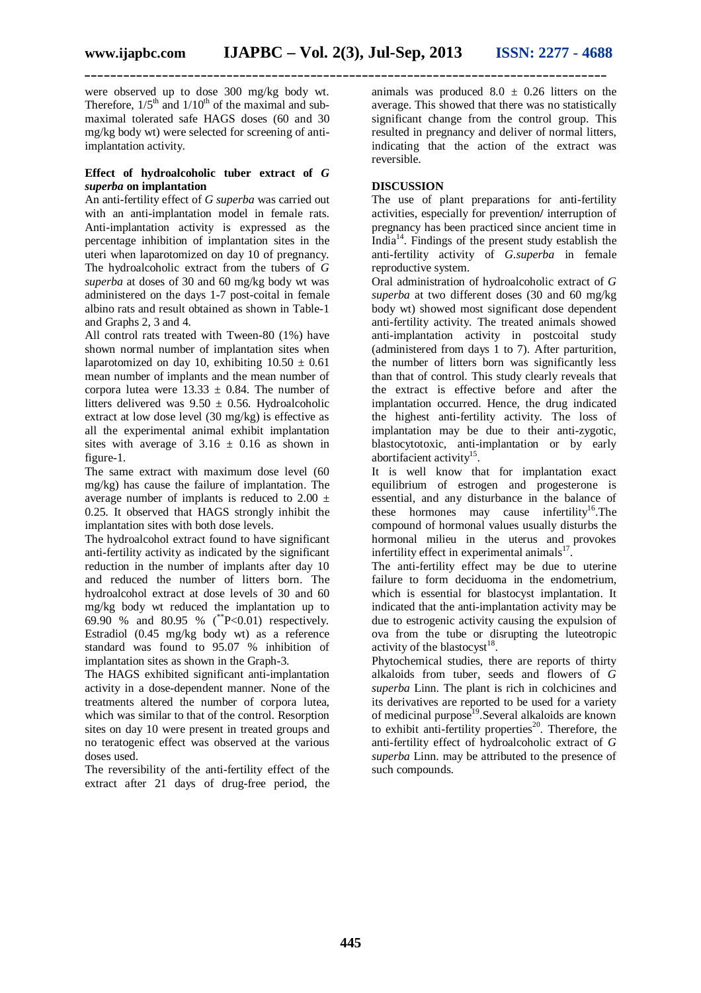**\_\_\_\_\_\_\_\_\_\_\_\_\_\_\_\_\_\_\_\_\_\_\_\_\_\_\_\_\_\_\_\_\_\_\_\_\_\_\_\_\_\_\_\_\_\_\_\_\_\_\_\_\_\_\_\_\_\_\_\_\_\_\_\_\_\_\_\_\_\_\_\_\_\_\_\_\_\_\_\_\_**

were observed up to dose 300 mg/kg body wt. Therefore,  $1/5<sup>th</sup>$  and  $1/10<sup>th</sup>$  of the maximal and submaximal tolerated safe HAGS doses (60 and 30 mg/kg body wt) were selected for screening of antiimplantation activity.

#### **Effect of hydroalcoholic tuber extract of** *G superba* **on implantation**

An anti-fertility effect of *G superba* was carried out with an anti-implantation model in female rats. Anti-implantation activity is expressed as the percentage inhibition of implantation sites in the uteri when laparotomized on day 10 of pregnancy. The hydroalcoholic extract from the tubers of *G superba* at doses of 30 and 60 mg/kg body wt was administered on the days 1-7 post-coital in female albino rats and result obtained as shown in Table-1 and Graphs 2, 3 and 4.

All control rats treated with Tween-80 (1%) have shown normal number of implantation sites when laparotomized on day 10, exhibiting  $10.50 \pm 0.61$ mean number of implants and the mean number of corpora lutea were  $13.33 \pm 0.84$ . The number of litters delivered was  $9.50 \pm 0.56$ . Hydroalcoholic extract at low dose level (30 mg/kg) is effective as all the experimental animal exhibit implantation sites with average of  $3.16 \pm 0.16$  as shown in figure-1.

The same extract with maximum dose level (60 mg/kg) has cause the failure of implantation. The average number of implants is reduced to  $2.00 \pm$ 0.25. It observed that HAGS strongly inhibit the implantation sites with both dose levels.

The hydroalcohol extract found to have significant anti-fertility activity as indicated by the significant reduction in the number of implants after day 10 and reduced the number of litters born. The hydroalcohol extract at dose levels of 30 and 60 mg/kg body wt reduced the implantation up to 69.90 % and 80.95 % (\*\*P<0.01) respectively. Estradiol (0.45 mg/kg body wt) as a reference standard was found to 95.07 % inhibition of implantation sites as shown in the Graph-3.

The HAGS exhibited significant anti-implantation activity in a dose-dependent manner. None of the treatments altered the number of corpora lutea, which was similar to that of the control. Resorption sites on day 10 were present in treated groups and no teratogenic effect was observed at the various doses used.

The reversibility of the anti-fertility effect of the extract after 21 days of drug-free period, the

animals was produced  $8.0 \pm 0.26$  litters on the average. This showed that there was no statistically significant change from the control group. This resulted in pregnancy and deliver of normal litters, indicating that the action of the extract was reversible.

# **DISCUSSION**

The use of plant preparations for anti-fertility activities, especially for prevention**/** interruption of pregnancy has been practiced since ancient time in India<sup>14</sup> . Findings of the present study establish the anti-fertility activity of *G.superba* in female reproductive system.

Oral administration of hydroalcoholic extract of *G superba* at two different doses (30 and 60 mg/kg body wt) showed most significant dose dependent anti-fertility activity. The treated animals showed anti-implantation activity in postcoital study (administered from days 1 to 7). After parturition, the number of litters born was significantly less than that of control. This study clearly reveals that the extract is effective before and after the implantation occurred. Hence, the drug indicated the highest anti-fertility activity. The loss of implantation may be due to their anti-zygotic, blastocytotoxic, anti-implantation or by early abortifacient activity<sup>15</sup>.

It is well know that for implantation exact equilibrium of estrogen and progesterone is essential, and any disturbance in the balance of these hormones may cause infertility<sup>16</sup>. The compound of hormonal values usually disturbs the hormonal milieu in the uterus and provokes infertility effect in experimental animals $17$ .

The anti-fertility effect may be due to uterine failure to form deciduoma in the endometrium, which is essential for blastocyst implantation. It indicated that the anti-implantation activity may be due to estrogenic activity causing the expulsion of ova from the tube or disrupting the luteotropic activity of the blastocyst $18$ .

Phytochemical studies, there are reports of thirty alkaloids from tuber, seeds and flowers of *G superba* Linn. The plant is rich in colchicines and its derivatives are reported to be used for a variety of medicinal purpose<sup>19</sup>. Several alkaloids are known to exhibit anti-fertility properties $20$ . Therefore, the anti-fertility effect of hydroalcoholic extract of *G superba* Linn. may be attributed to the presence of such compounds.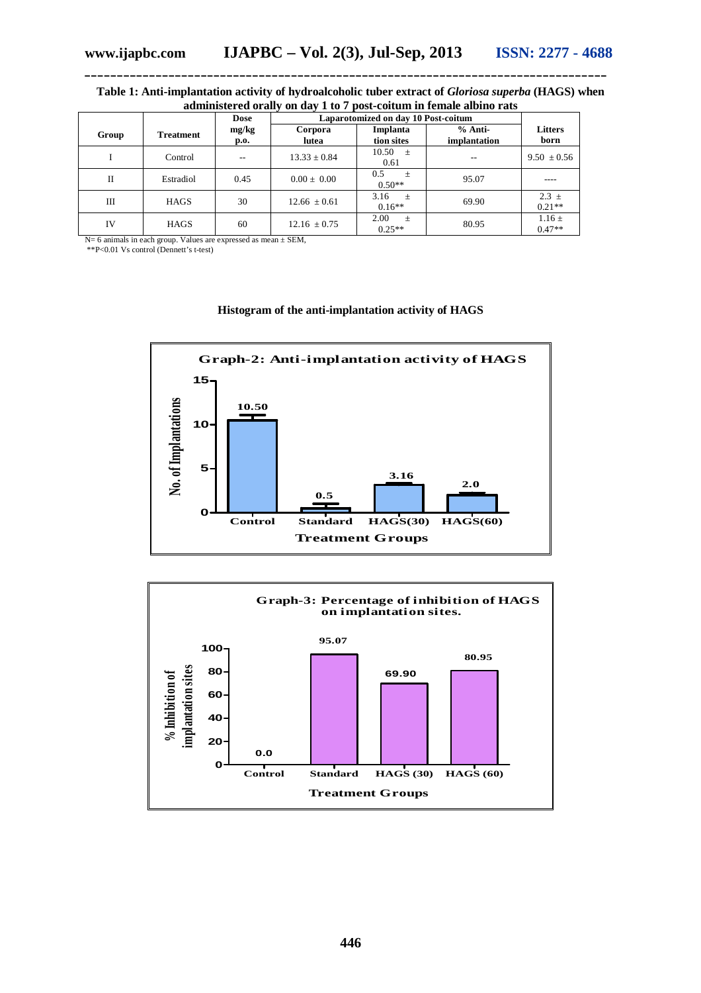### **Table 1: Anti-implantation activity of hydroalcoholic tuber extract of** *Gloriosa superba* **(HAGS) when administered orally on day 1 to 7 post-coitum in female albino rats**

**\_\_\_\_\_\_\_\_\_\_\_\_\_\_\_\_\_\_\_\_\_\_\_\_\_\_\_\_\_\_\_\_\_\_\_\_\_\_\_\_\_\_\_\_\_\_\_\_\_\_\_\_\_\_\_\_\_\_\_\_\_\_\_\_\_\_\_\_\_\_\_\_\_\_\_\_\_\_\_\_\_**

|       |                  | <b>Dose</b>   | Laparotomized on day 10 Post-coitum |                           |                           |                        |
|-------|------------------|---------------|-------------------------------------|---------------------------|---------------------------|------------------------|
| Group | <b>Treatment</b> | mg/kg<br>p.o. | Corpora<br>lutea                    | Implanta<br>tion sites    | $%$ Anti-<br>implantation | <b>Litters</b><br>born |
|       | Control          | $- -$         | $13.33 \pm 0.84$                    | $10.50 \pm 1$<br>0.61     | --                        | $9.50 \pm 0.56$        |
| П     | Estradiol        | 0.45          | $0.00 \pm 0.00$                     | 0.5<br>$+$<br>$0.50**$    | 95.07                     | ----                   |
| Ш     | <b>HAGS</b>      | 30            | $12.66 \pm 0.61$                    | 3.16<br>一生。<br>$0.16**$   | 69.90                     | $2.3 \pm$<br>$0.21**$  |
| IV    | <b>HAGS</b>      | 60            | $12.16 \pm 0.75$                    | 2.00<br>$\pm$<br>$0.25**$ | 80.95                     | $1.16 \pm$<br>$0.47**$ |

N= 6 animals in each group. Values are expressed as mean ± SEM,

\*\*P<0.01 Vs control (Dennett's t-test)



#### **Histogram of the anti-implantation activity of HAGS**

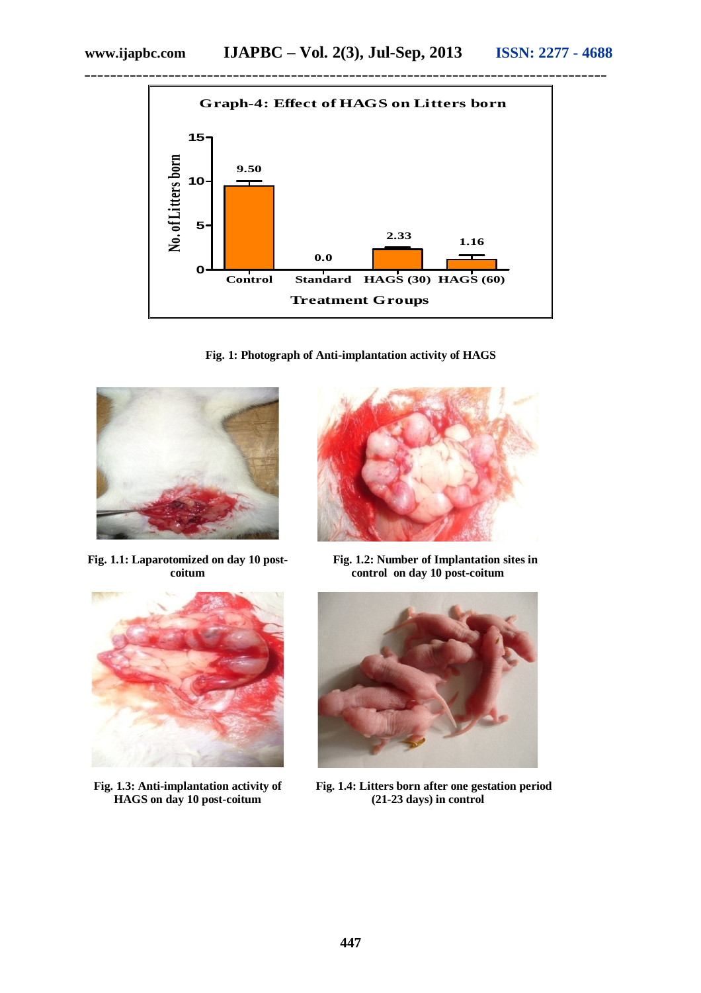

**Fig. 1: Photograph of Anti-implantation activity of HAGS**



**Fig. 1.1: Laparotomized on day 10 postcoitum**



**Fig. 1.3: Anti-implantation activity of HAGS on day 10 post-coitum**



 **Fig. 1.2: Number of Implantation sites in control on day 10 post-coitum**



 **Fig. 1.4: Litters born after one gestation period (21-23 days) in control**